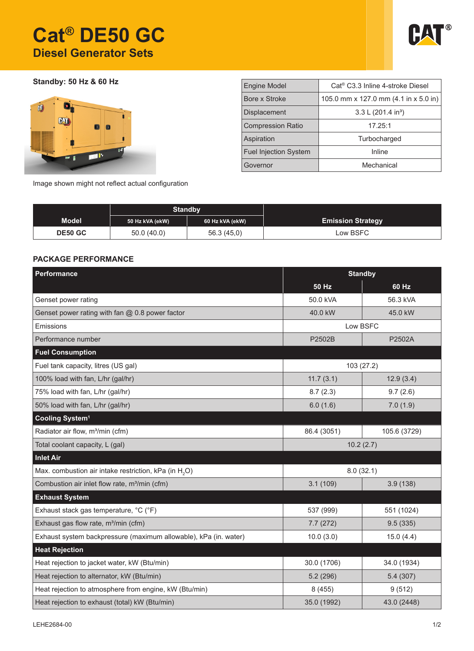# **Cat® DE50 GC Diesel Generator Sets**



**Standby: 50 Hz & 60 Hz**



| <b>Engine Model</b>          | Cat <sup>®</sup> C3.3 Inline 4-stroke Diesel |  |  |  |
|------------------------------|----------------------------------------------|--|--|--|
| Bore x Stroke                | 105.0 mm x 127.0 mm (4.1 in x 5.0 in)        |  |  |  |
| <b>Displacement</b>          | 3.3 L $(201.4 \text{ in}^3)$                 |  |  |  |
| <b>Compression Ratio</b>     | 17.25:1                                      |  |  |  |
| Aspiration                   | Turbocharged                                 |  |  |  |
| <b>Fuel Injection System</b> | Inline                                       |  |  |  |
| Governor                     | Mechanical                                   |  |  |  |

Image shown might not reflect actual configuration

|                | <b>Standby</b>  |                 |                          |
|----------------|-----------------|-----------------|--------------------------|
| <b>Model</b>   | 50 Hz kVA (ekW) | 60 Hz kVA (ekW) | <b>Emission Strategy</b> |
| <b>DE50 GC</b> | 50.0(40.0)      | 56.3(45.0)      | Low BSFC                 |

## **PACKAGE PERFORMANCE**

| Performance                                                       | <b>Standby</b> |              |  |  |
|-------------------------------------------------------------------|----------------|--------------|--|--|
|                                                                   | <b>50 Hz</b>   | $60$ Hz      |  |  |
| Genset power rating                                               | 50.0 kVA       | 56.3 kVA     |  |  |
| Genset power rating with fan $@$ 0.8 power factor                 | 40.0 kW        | 45.0 kW      |  |  |
| Emissions                                                         | Low BSFC       |              |  |  |
| Performance number                                                | P2502B         | P2502A       |  |  |
| <b>Fuel Consumption</b>                                           |                |              |  |  |
| Fuel tank capacity, litres (US gal)                               | 103 (27.2)     |              |  |  |
| 100% load with fan, L/hr (gal/hr)                                 | 11.7(3.1)      | 12.9(3.4)    |  |  |
| 75% load with fan, L/hr (gal/hr)                                  | 8.7(2.3)       | 9.7(2.6)     |  |  |
| 50% load with fan, L/hr (gal/hr)                                  | 6.0(1.6)       | 7.0(1.9)     |  |  |
| Cooling System <sup>1</sup>                                       |                |              |  |  |
| Radiator air flow, m <sup>3</sup> /min (cfm)                      | 86.4 (3051)    | 105.6 (3729) |  |  |
| Total coolant capacity, L (gal)                                   | 10.2(2.7)      |              |  |  |
| <b>Inlet Air</b>                                                  |                |              |  |  |
| Max. combustion air intake restriction, kPa (in H <sub>2</sub> O) | 8.0(32.1)      |              |  |  |
| Combustion air inlet flow rate, m <sup>3</sup> /min (cfm)         | 3.1(109)       | 3.9(138)     |  |  |
| <b>Exhaust System</b>                                             |                |              |  |  |
| Exhaust stack gas temperature, °C (°F)                            | 537 (999)      | 551 (1024)   |  |  |
| Exhaust gas flow rate, m <sup>3</sup> /min (cfm)                  | 7.7(272)       | 9.5(335)     |  |  |
| Exhaust system backpressure (maximum allowable), kPa (in. water)  | 10.0(3.0)      | 15.0(4.4)    |  |  |
| <b>Heat Rejection</b>                                             |                |              |  |  |
| Heat rejection to jacket water, kW (Btu/min)                      | 30.0 (1706)    | 34.0 (1934)  |  |  |
| Heat rejection to alternator, kW (Btu/min)                        | 5.2(296)       | 5.4(307)     |  |  |
| Heat rejection to atmosphere from engine, kW (Btu/min)            | 8 (455)        | 9(512)       |  |  |
| Heat rejection to exhaust (total) kW (Btu/min)                    | 35.0 (1992)    | 43.0 (2448)  |  |  |